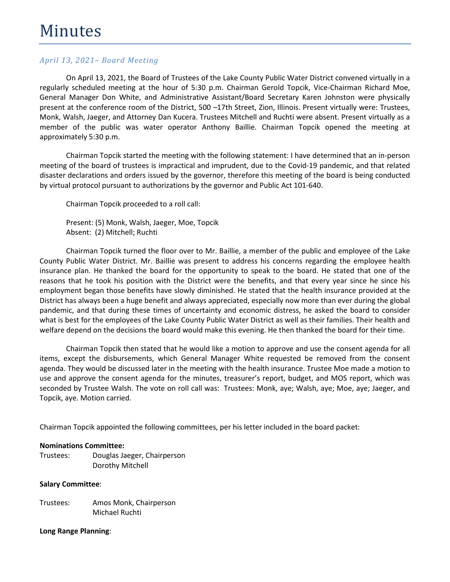On April 13, 2021, the Board of Trustees of the Lake County Public Water District convened virtually in a regularly scheduled meeting at the hour of 5:30 p.m. Chairman Gerold Topcik, Vice-Chairman Richard Moe, General Manager Don White, and Administrative Assistant/Board Secretary Karen Johnston were physically present at the conference room of the District, 500 –17th Street, Zion, Illinois. Present virtually were: Trustees, Monk, Walsh, Jaeger, and Attorney Dan Kucera. Trustees Mitchell and Ruchti were absent. Present virtually as a member of the public was water operator Anthony Baillie. Chairman Topcik opened the meeting at approximately 5:30 p.m.

Chairman Topcik started the meeting with the following statement: I have determined that an in-person meeting of the board of trustees is impractical and imprudent, due to the Covid-19 pandemic, and that related disaster declarations and orders issued by the governor, therefore this meeting of the board is being conducted by virtual protocol pursuant to authorizations by the governor and Public Act 101-640.

Chairman Topcik proceeded to a roll call:

Present: (5) Monk, Walsh, Jaeger, Moe, Topcik Absent: (2) Mitchell; Ruchti

Chairman Topcik turned the floor over to Mr. Baillie, a member of the public and employee of the Lake County Public Water District. Mr. Baillie was present to address his concerns regarding the employee health insurance plan. He thanked the board for the opportunity to speak to the board. He stated that one of the reasons that he took his position with the District were the benefits, and that every year since he since his employment began those benefits have slowly diminished. He stated that the health insurance provided at the District has always been a huge benefit and always appreciated, especially now more than ever during the global pandemic, and that during these times of uncertainty and economic distress, he asked the board to consider what is best for the employees of the Lake County Public Water District as well as their families. Their health and welfare depend on the decisions the board would make this evening. He then thanked the board for their time.

Chairman Topcik then stated that he would like a motion to approve and use the consent agenda for all items, except the disbursements, which General Manager White requested be removed from the consent agenda. They would be discussed later in the meeting with the health insurance. Trustee Moe made a motion to use and approve the consent agenda for the minutes, treasurer's report, budget, and MOS report, which was seconded by Trustee Walsh. The vote on roll call was: Trustees: Monk, aye; Walsh, aye; Moe, aye; Jaeger, and Topcik, aye. Motion carried.

Chairman Topcik appointed the following committees, per his letter included in the board packet:

#### **Nominations Committee:**

Trustees: Douglas Jaeger, Chairperson Dorothy Mitchell

#### **Salary Committee**:

Trustees: Amos Monk, Chairperson Michael Ruchti

#### **Long Range Planning**: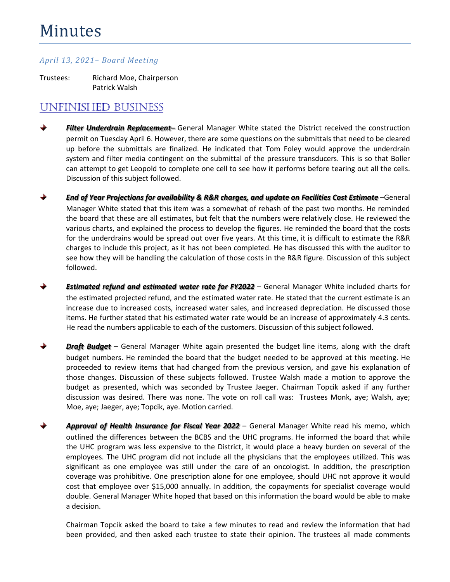# Minutes

#### *April 13, 2021– Board Meeting*

Trustees: Richard Moe, Chairperson Patrick Walsh

## UNFINISHED BUSINESS

- *Filter Underdrain Replacement–* General Manager White stated the District received the construction permit on Tuesday April 6. However, there are some questions on the submittals that need to be cleared up before the submittals are finalized. He indicated that Tom Foley would approve the underdrain system and filter media contingent on the submittal of the pressure transducers. This is so that Boller can attempt to get Leopold to complete one cell to see how it performs before tearing out all the cells. Discussion of this subject followed.
- *End of Year Projections for availability & R&R charges, and update on Facilities Cost Estimate* –General Manager White stated that this item was a somewhat of rehash of the past two months. He reminded the board that these are all estimates, but felt that the numbers were relatively close. He reviewed the various charts, and explained the process to develop the figures. He reminded the board that the costs for the underdrains would be spread out over five years. At this time, it is difficult to estimate the R&R charges to include this project, as it has not been completed. He has discussed this with the auditor to see how they will be handling the calculation of those costs in the R&R figure. Discussion of this subject followed.
- ♦ *Estimated refund and estimated water rate for FY2022* – General Manager White included charts for the estimated projected refund, and the estimated water rate. He stated that the current estimate is an increase due to increased costs, increased water sales, and increased depreciation. He discussed those items. He further stated that his estimated water rate would be an increase of approximately 4.3 cents. He read the numbers applicable to each of the customers. Discussion of this subject followed.
- *Draft Budget* General Manager White again presented the budget line items, along with the draft budget numbers. He reminded the board that the budget needed to be approved at this meeting. He proceeded to review items that had changed from the previous version, and gave his explanation of those changes. Discussion of these subjects followed. Trustee Walsh made a motion to approve the budget as presented, which was seconded by Trustee Jaeger. Chairman Topcik asked if any further discussion was desired. There was none. The vote on roll call was: Trustees Monk, aye; Walsh, aye; Moe, aye; Jaeger, aye; Topcik, aye. Motion carried.
- ♦ *Approval of Health Insurance for Fiscal Year 2022* – General Manager White read his memo, which outlined the differences between the BCBS and the UHC programs. He informed the board that while the UHC program was less expensive to the District, it would place a heavy burden on several of the employees. The UHC program did not include all the physicians that the employees utilized. This was significant as one employee was still under the care of an oncologist. In addition, the prescription coverage was prohibitive. One prescription alone for one employee, should UHC not approve it would cost that employee over \$15,000 annually. In addition, the copayments for specialist coverage would double. General Manager White hoped that based on this information the board would be able to make a decision.

Chairman Topcik asked the board to take a few minutes to read and review the information that had been provided, and then asked each trustee to state their opinion. The trustees all made comments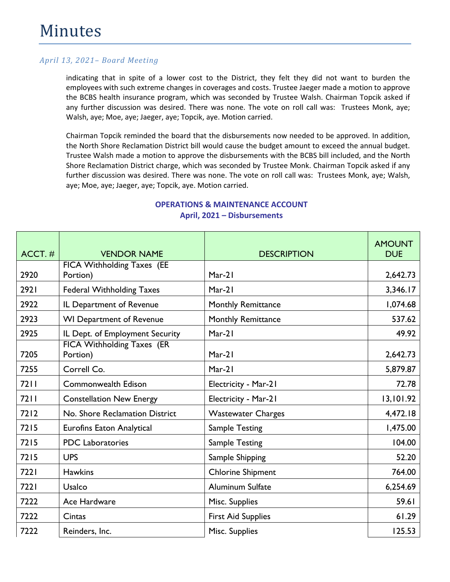indicating that in spite of a lower cost to the District, they felt they did not want to burden the employees with such extreme changes in coverages and costs. Trustee Jaeger made a motion to approve the BCBS health insurance program, which was seconded by Trustee Walsh. Chairman Topcik asked if any further discussion was desired. There was none. The vote on roll call was: Trustees Monk, aye; Walsh, aye; Moe, aye; Jaeger, aye; Topcik, aye. Motion carried.

Chairman Topcik reminded the board that the disbursements now needed to be approved. In addition, the North Shore Reclamation District bill would cause the budget amount to exceed the annual budget. Trustee Walsh made a motion to approve the disbursements with the BCBS bill included, and the North Shore Reclamation District charge, which was seconded by Trustee Monk. Chairman Topcik asked if any further discussion was desired. There was none. The vote on roll call was: Trustees Monk, aye; Walsh, aye; Moe, aye; Jaeger, aye; Topcik, aye. Motion carried.

| $ACCT.$ # | <b>VENDOR NAME</b>                            | <b>DESCRIPTION</b>        | <b>AMOUNT</b><br><b>DUE</b> |
|-----------|-----------------------------------------------|---------------------------|-----------------------------|
| 2920      | <b>FICA Withholding Taxes</b> (EE<br>Portion) | $Mar-21$                  | 2,642.73                    |
| 2921      | <b>Federal Withholding Taxes</b>              | $Mar-21$                  | 3,346.17                    |
| 2922      | IL Department of Revenue                      | Monthly Remittance        | 1,074.68                    |
| 2923      | <b>WI Department of Revenue</b>               | Monthly Remittance        | 537.62                      |
| 2925      | IL Dept. of Employment Security               | $Mar-21$                  | 49.92                       |
| 7205      | <b>FICA Withholding Taxes (ER</b><br>Portion) | $Mar-21$                  | 2,642.73                    |
| 7255      | Correll Co.                                   | $Mar-21$                  | 5,879.87                    |
| 7211      | <b>Commonwealth Edison</b>                    | Electricity - Mar-21      | 72.78                       |
| 7211      | <b>Constellation New Energy</b>               | Electricity - Mar-21      | 13,101.92                   |
| 7212      | No. Shore Reclamation District                | <b>Wastewater Charges</b> | 4,472.18                    |
| 7215      | <b>Eurofins Eaton Analytical</b>              | <b>Sample Testing</b>     | 1,475.00                    |
| 7215      | <b>PDC</b> Laboratories                       | <b>Sample Testing</b>     | 104.00                      |
| 7215      | <b>UPS</b>                                    | Sample Shipping           | 52.20                       |
| 7221      | <b>Hawkins</b>                                | <b>Chlorine Shipment</b>  | 764.00                      |
| 7221      | <b>Usalco</b>                                 | <b>Aluminum Sulfate</b>   | 6,254.69                    |
| 7222      | Ace Hardware                                  | Misc. Supplies            | 59.61                       |
| 7222      | Cintas                                        | <b>First Aid Supplies</b> | 61.29                       |
| 7222      | Reinders, Inc.                                | Misc. Supplies            | 125.53                      |

## **OPERATIONS & MAINTENANCE ACCOUNT April, 2021 – Disbursements**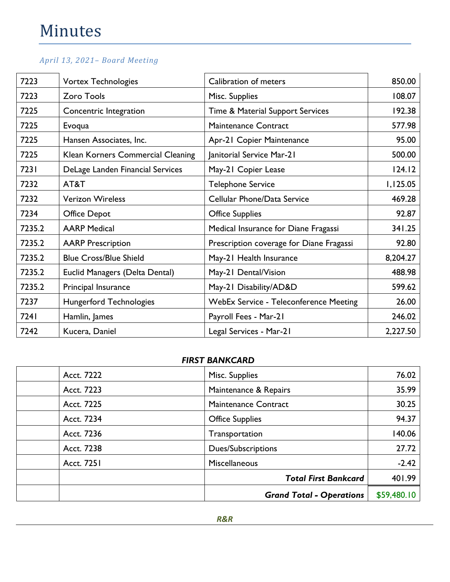| 7223   | <b>Vortex Technologies</b>        | Calibration of meters                         | 850.00   |
|--------|-----------------------------------|-----------------------------------------------|----------|
| 7223   | <b>Zoro Tools</b>                 | Misc. Supplies                                | 108.07   |
| 7225   | Concentric Integration            | Time & Material Support Services              | 192.38   |
| 7225   | Evoqua                            | <b>Maintenance Contract</b>                   | 577.98   |
| 7225   | Hansen Associates, Inc.           | Apr-21 Copier Maintenance                     | 95.00    |
| 7225   | Klean Korners Commercial Cleaning | Janitorial Service Mar-21                     | 500.00   |
| 7231   | DeLage Landen Financial Services  | May-21 Copier Lease                           | 124.12   |
| 7232   | AT&T                              | <b>Telephone Service</b>                      | 1,125.05 |
| 7232   | <b>Verizon Wireless</b>           | Cellular Phone/Data Service                   | 469.28   |
| 7234   | <b>Office Depot</b>               | <b>Office Supplies</b>                        | 92.87    |
| 7235.2 | <b>AARP Medical</b>               | Medical Insurance for Diane Fragassi          | 341.25   |
| 7235.2 | <b>AARP Prescription</b>          | Prescription coverage for Diane Fragassi      | 92.80    |
| 7235.2 | <b>Blue Cross/Blue Shield</b>     | May-21 Health Insurance                       | 8,204.27 |
| 7235.2 | Euclid Managers (Delta Dental)    | May-21 Dental/Vision                          | 488.98   |
| 7235.2 | Principal Insurance               | May-21 Disability/AD&D                        | 599.62   |
| 7237   | <b>Hungerford Technologies</b>    | <b>WebEx Service - Teleconference Meeting</b> | 26.00    |
| 7241   | Hamlin, James                     | Payroll Fees - Mar-21                         | 246.02   |
| 7242   | Kucera, Daniel                    | Legal Services - Mar-21                       | 2,227.50 |

### *FIRST BANKCARD*

| Acct. 7222 | Misc. Supplies                  | 76.02       |
|------------|---------------------------------|-------------|
| Acct. 7223 | Maintenance & Repairs           | 35.99       |
| Acct. 7225 | <b>Maintenance Contract</b>     | 30.25       |
| Acct. 7234 | <b>Office Supplies</b>          | 94.37       |
| Acct. 7236 | Transportation                  | 140.06      |
| Acct. 7238 | <b>Dues/Subscriptions</b>       | 27.72       |
| Acct. 7251 | Miscellaneous                   | $-2.42$     |
|            | <b>Total First Bankcard</b>     | 401.99      |
|            | <b>Grand Total - Operations</b> | \$59,480.10 |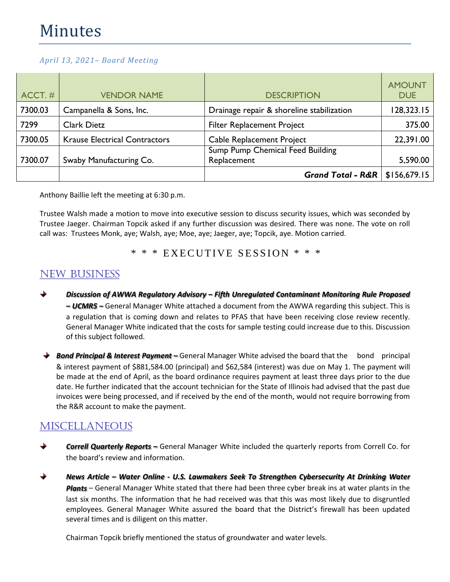| $ACCT.$ # | <b>VENDOR NAME</b>                   | <b>DESCRIPTION</b>                              | <b>AMOUNT</b><br><b>DUE</b> |
|-----------|--------------------------------------|-------------------------------------------------|-----------------------------|
| 7300.03   | Campanella & Sons, Inc.              | Drainage repair & shoreline stabilization       | 128,323.15                  |
| 7299      | <b>Clark Dietz</b>                   | <b>Filter Replacement Project</b>               | 375.00                      |
| 7300.05   | <b>Krause Electrical Contractors</b> | Cable Replacement Project                       | 22,391.00                   |
| 7300.07   | Swaby Manufacturing Co.              | Sump Pump Chemical Feed Building<br>Replacement | 5,590.00                    |
|           |                                      | <b>Grand Total - R&amp;R</b>                    | \$156,679.15                |

Anthony Baillie left the meeting at 6:30 p.m.

Trustee Walsh made a motion to move into executive session to discuss security issues, which was seconded by Trustee Jaeger. Chairman Topcik asked if any further discussion was desired. There was none. The vote on roll call was: Trustees Monk, aye; Walsh, aye; Moe, aye; Jaeger, aye; Topcik, aye. Motion carried.

\* \* \* EXECUTIVE SESSION \* \* \*

# NEW BUSINESS

- *Discussion of AWWA Regulatory Advisory – Fifth Unregulated Contaminant Monitoring Rule Proposed – UCMR5 –* General Manager White attached a document from the AWWA regarding this subject. This is a regulation that is coming down and relates to PFAS that have been receiving close review recently. General Manager White indicated that the costs for sample testing could increase due to this. Discussion of this subject followed.
- **→ Bond Principal & Interest Payment** General Manager White advised the board that the bond principal & interest payment of \$881,584.00 (principal) and \$62,584 (interest) was due on May 1. The payment will be made at the end of April, as the board ordinance requires payment at least three days prior to the due date. He further indicated that the account technician for the State of Illinois had advised that the past due invoices were being processed, and if received by the end of the month, would not require borrowing from the R&R account to make the payment.

# **MISCELLANEOUS**

- *Correll Quarterly Reports –* General Manager White included the quarterly reports from Correll Co. for the board's review and information.
- *News Article – Water Online - U.S. Lawmakers Seek To Strengthen Cybersecurity At Drinking Water Plants* – General Manager White stated that there had been three cyber break ins at water plants in the last six months. The information that he had received was that this was most likely due to disgruntled employees. General Manager White assured the board that the District's firewall has been updated several times and is diligent on this matter.

Chairman Topcik briefly mentioned the status of groundwater and water levels.